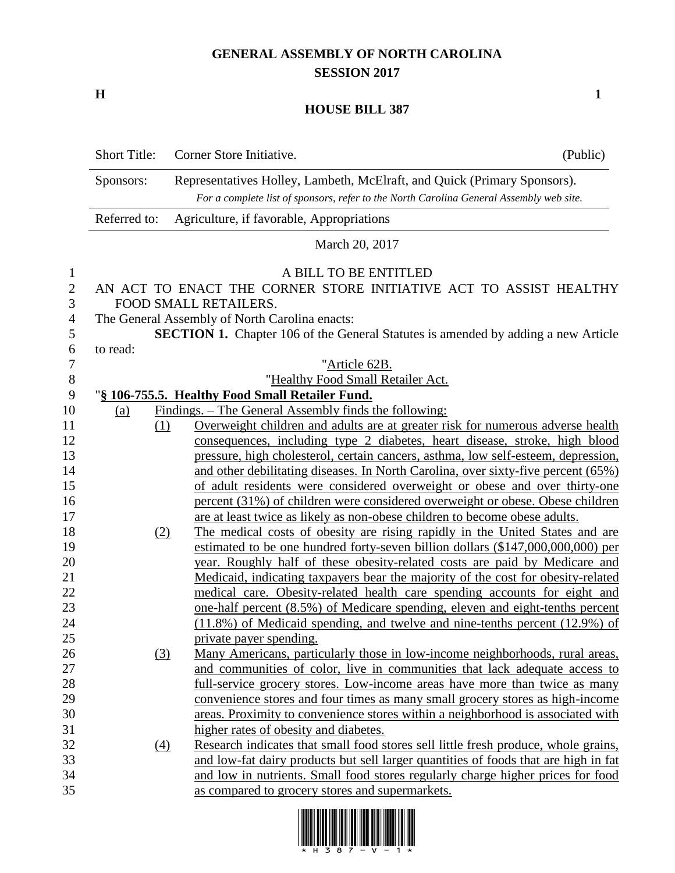## **GENERAL ASSEMBLY OF NORTH CAROLINA SESSION 2017**

**H 1**

## **HOUSE BILL 387**

| <b>Short Title:</b> | Corner Store Initiative.                                                                | (Public)                                                                                                                                                                                                                                                                                                                                                                                                                                                                                                                                                                                                                                                                                                                                                                                                                                                                                                                                                                                                                                                                                                                                                                                                                                                                                                                                                                                                                                                                                                                                                                                                                                                                                                                                                                                                                                                                                                                                                                              |
|---------------------|-----------------------------------------------------------------------------------------|---------------------------------------------------------------------------------------------------------------------------------------------------------------------------------------------------------------------------------------------------------------------------------------------------------------------------------------------------------------------------------------------------------------------------------------------------------------------------------------------------------------------------------------------------------------------------------------------------------------------------------------------------------------------------------------------------------------------------------------------------------------------------------------------------------------------------------------------------------------------------------------------------------------------------------------------------------------------------------------------------------------------------------------------------------------------------------------------------------------------------------------------------------------------------------------------------------------------------------------------------------------------------------------------------------------------------------------------------------------------------------------------------------------------------------------------------------------------------------------------------------------------------------------------------------------------------------------------------------------------------------------------------------------------------------------------------------------------------------------------------------------------------------------------------------------------------------------------------------------------------------------------------------------------------------------------------------------------------------------|
|                     | Representatives Holley, Lambeth, McElraft, and Quick (Primary Sponsors).                |                                                                                                                                                                                                                                                                                                                                                                                                                                                                                                                                                                                                                                                                                                                                                                                                                                                                                                                                                                                                                                                                                                                                                                                                                                                                                                                                                                                                                                                                                                                                                                                                                                                                                                                                                                                                                                                                                                                                                                                       |
|                     | For a complete list of sponsors, refer to the North Carolina General Assembly web site. |                                                                                                                                                                                                                                                                                                                                                                                                                                                                                                                                                                                                                                                                                                                                                                                                                                                                                                                                                                                                                                                                                                                                                                                                                                                                                                                                                                                                                                                                                                                                                                                                                                                                                                                                                                                                                                                                                                                                                                                       |
| Referred to:        | Agriculture, if favorable, Appropriations                                               |                                                                                                                                                                                                                                                                                                                                                                                                                                                                                                                                                                                                                                                                                                                                                                                                                                                                                                                                                                                                                                                                                                                                                                                                                                                                                                                                                                                                                                                                                                                                                                                                                                                                                                                                                                                                                                                                                                                                                                                       |
|                     | March 20, 2017                                                                          |                                                                                                                                                                                                                                                                                                                                                                                                                                                                                                                                                                                                                                                                                                                                                                                                                                                                                                                                                                                                                                                                                                                                                                                                                                                                                                                                                                                                                                                                                                                                                                                                                                                                                                                                                                                                                                                                                                                                                                                       |
|                     |                                                                                         |                                                                                                                                                                                                                                                                                                                                                                                                                                                                                                                                                                                                                                                                                                                                                                                                                                                                                                                                                                                                                                                                                                                                                                                                                                                                                                                                                                                                                                                                                                                                                                                                                                                                                                                                                                                                                                                                                                                                                                                       |
|                     |                                                                                         |                                                                                                                                                                                                                                                                                                                                                                                                                                                                                                                                                                                                                                                                                                                                                                                                                                                                                                                                                                                                                                                                                                                                                                                                                                                                                                                                                                                                                                                                                                                                                                                                                                                                                                                                                                                                                                                                                                                                                                                       |
|                     |                                                                                         |                                                                                                                                                                                                                                                                                                                                                                                                                                                                                                                                                                                                                                                                                                                                                                                                                                                                                                                                                                                                                                                                                                                                                                                                                                                                                                                                                                                                                                                                                                                                                                                                                                                                                                                                                                                                                                                                                                                                                                                       |
|                     |                                                                                         |                                                                                                                                                                                                                                                                                                                                                                                                                                                                                                                                                                                                                                                                                                                                                                                                                                                                                                                                                                                                                                                                                                                                                                                                                                                                                                                                                                                                                                                                                                                                                                                                                                                                                                                                                                                                                                                                                                                                                                                       |
|                     |                                                                                         |                                                                                                                                                                                                                                                                                                                                                                                                                                                                                                                                                                                                                                                                                                                                                                                                                                                                                                                                                                                                                                                                                                                                                                                                                                                                                                                                                                                                                                                                                                                                                                                                                                                                                                                                                                                                                                                                                                                                                                                       |
| to read:            |                                                                                         |                                                                                                                                                                                                                                                                                                                                                                                                                                                                                                                                                                                                                                                                                                                                                                                                                                                                                                                                                                                                                                                                                                                                                                                                                                                                                                                                                                                                                                                                                                                                                                                                                                                                                                                                                                                                                                                                                                                                                                                       |
|                     | "Article 62B.                                                                           |                                                                                                                                                                                                                                                                                                                                                                                                                                                                                                                                                                                                                                                                                                                                                                                                                                                                                                                                                                                                                                                                                                                                                                                                                                                                                                                                                                                                                                                                                                                                                                                                                                                                                                                                                                                                                                                                                                                                                                                       |
|                     |                                                                                         |                                                                                                                                                                                                                                                                                                                                                                                                                                                                                                                                                                                                                                                                                                                                                                                                                                                                                                                                                                                                                                                                                                                                                                                                                                                                                                                                                                                                                                                                                                                                                                                                                                                                                                                                                                                                                                                                                                                                                                                       |
|                     |                                                                                         |                                                                                                                                                                                                                                                                                                                                                                                                                                                                                                                                                                                                                                                                                                                                                                                                                                                                                                                                                                                                                                                                                                                                                                                                                                                                                                                                                                                                                                                                                                                                                                                                                                                                                                                                                                                                                                                                                                                                                                                       |
| (a)                 |                                                                                         |                                                                                                                                                                                                                                                                                                                                                                                                                                                                                                                                                                                                                                                                                                                                                                                                                                                                                                                                                                                                                                                                                                                                                                                                                                                                                                                                                                                                                                                                                                                                                                                                                                                                                                                                                                                                                                                                                                                                                                                       |
|                     |                                                                                         |                                                                                                                                                                                                                                                                                                                                                                                                                                                                                                                                                                                                                                                                                                                                                                                                                                                                                                                                                                                                                                                                                                                                                                                                                                                                                                                                                                                                                                                                                                                                                                                                                                                                                                                                                                                                                                                                                                                                                                                       |
|                     |                                                                                         |                                                                                                                                                                                                                                                                                                                                                                                                                                                                                                                                                                                                                                                                                                                                                                                                                                                                                                                                                                                                                                                                                                                                                                                                                                                                                                                                                                                                                                                                                                                                                                                                                                                                                                                                                                                                                                                                                                                                                                                       |
|                     |                                                                                         |                                                                                                                                                                                                                                                                                                                                                                                                                                                                                                                                                                                                                                                                                                                                                                                                                                                                                                                                                                                                                                                                                                                                                                                                                                                                                                                                                                                                                                                                                                                                                                                                                                                                                                                                                                                                                                                                                                                                                                                       |
|                     |                                                                                         |                                                                                                                                                                                                                                                                                                                                                                                                                                                                                                                                                                                                                                                                                                                                                                                                                                                                                                                                                                                                                                                                                                                                                                                                                                                                                                                                                                                                                                                                                                                                                                                                                                                                                                                                                                                                                                                                                                                                                                                       |
|                     |                                                                                         |                                                                                                                                                                                                                                                                                                                                                                                                                                                                                                                                                                                                                                                                                                                                                                                                                                                                                                                                                                                                                                                                                                                                                                                                                                                                                                                                                                                                                                                                                                                                                                                                                                                                                                                                                                                                                                                                                                                                                                                       |
|                     |                                                                                         |                                                                                                                                                                                                                                                                                                                                                                                                                                                                                                                                                                                                                                                                                                                                                                                                                                                                                                                                                                                                                                                                                                                                                                                                                                                                                                                                                                                                                                                                                                                                                                                                                                                                                                                                                                                                                                                                                                                                                                                       |
|                     |                                                                                         |                                                                                                                                                                                                                                                                                                                                                                                                                                                                                                                                                                                                                                                                                                                                                                                                                                                                                                                                                                                                                                                                                                                                                                                                                                                                                                                                                                                                                                                                                                                                                                                                                                                                                                                                                                                                                                                                                                                                                                                       |
|                     |                                                                                         |                                                                                                                                                                                                                                                                                                                                                                                                                                                                                                                                                                                                                                                                                                                                                                                                                                                                                                                                                                                                                                                                                                                                                                                                                                                                                                                                                                                                                                                                                                                                                                                                                                                                                                                                                                                                                                                                                                                                                                                       |
|                     |                                                                                         |                                                                                                                                                                                                                                                                                                                                                                                                                                                                                                                                                                                                                                                                                                                                                                                                                                                                                                                                                                                                                                                                                                                                                                                                                                                                                                                                                                                                                                                                                                                                                                                                                                                                                                                                                                                                                                                                                                                                                                                       |
|                     |                                                                                         |                                                                                                                                                                                                                                                                                                                                                                                                                                                                                                                                                                                                                                                                                                                                                                                                                                                                                                                                                                                                                                                                                                                                                                                                                                                                                                                                                                                                                                                                                                                                                                                                                                                                                                                                                                                                                                                                                                                                                                                       |
|                     |                                                                                         |                                                                                                                                                                                                                                                                                                                                                                                                                                                                                                                                                                                                                                                                                                                                                                                                                                                                                                                                                                                                                                                                                                                                                                                                                                                                                                                                                                                                                                                                                                                                                                                                                                                                                                                                                                                                                                                                                                                                                                                       |
|                     |                                                                                         |                                                                                                                                                                                                                                                                                                                                                                                                                                                                                                                                                                                                                                                                                                                                                                                                                                                                                                                                                                                                                                                                                                                                                                                                                                                                                                                                                                                                                                                                                                                                                                                                                                                                                                                                                                                                                                                                                                                                                                                       |
|                     |                                                                                         |                                                                                                                                                                                                                                                                                                                                                                                                                                                                                                                                                                                                                                                                                                                                                                                                                                                                                                                                                                                                                                                                                                                                                                                                                                                                                                                                                                                                                                                                                                                                                                                                                                                                                                                                                                                                                                                                                                                                                                                       |
|                     |                                                                                         |                                                                                                                                                                                                                                                                                                                                                                                                                                                                                                                                                                                                                                                                                                                                                                                                                                                                                                                                                                                                                                                                                                                                                                                                                                                                                                                                                                                                                                                                                                                                                                                                                                                                                                                                                                                                                                                                                                                                                                                       |
|                     |                                                                                         |                                                                                                                                                                                                                                                                                                                                                                                                                                                                                                                                                                                                                                                                                                                                                                                                                                                                                                                                                                                                                                                                                                                                                                                                                                                                                                                                                                                                                                                                                                                                                                                                                                                                                                                                                                                                                                                                                                                                                                                       |
|                     |                                                                                         |                                                                                                                                                                                                                                                                                                                                                                                                                                                                                                                                                                                                                                                                                                                                                                                                                                                                                                                                                                                                                                                                                                                                                                                                                                                                                                                                                                                                                                                                                                                                                                                                                                                                                                                                                                                                                                                                                                                                                                                       |
|                     |                                                                                         |                                                                                                                                                                                                                                                                                                                                                                                                                                                                                                                                                                                                                                                                                                                                                                                                                                                                                                                                                                                                                                                                                                                                                                                                                                                                                                                                                                                                                                                                                                                                                                                                                                                                                                                                                                                                                                                                                                                                                                                       |
|                     |                                                                                         |                                                                                                                                                                                                                                                                                                                                                                                                                                                                                                                                                                                                                                                                                                                                                                                                                                                                                                                                                                                                                                                                                                                                                                                                                                                                                                                                                                                                                                                                                                                                                                                                                                                                                                                                                                                                                                                                                                                                                                                       |
|                     | areas. Proximity to convenience stores within a neighborhood is associated with         |                                                                                                                                                                                                                                                                                                                                                                                                                                                                                                                                                                                                                                                                                                                                                                                                                                                                                                                                                                                                                                                                                                                                                                                                                                                                                                                                                                                                                                                                                                                                                                                                                                                                                                                                                                                                                                                                                                                                                                                       |
|                     | higher rates of obesity and diabetes.                                                   |                                                                                                                                                                                                                                                                                                                                                                                                                                                                                                                                                                                                                                                                                                                                                                                                                                                                                                                                                                                                                                                                                                                                                                                                                                                                                                                                                                                                                                                                                                                                                                                                                                                                                                                                                                                                                                                                                                                                                                                       |
|                     | Research indicates that small food stores sell little fresh produce, whole grains,      |                                                                                                                                                                                                                                                                                                                                                                                                                                                                                                                                                                                                                                                                                                                                                                                                                                                                                                                                                                                                                                                                                                                                                                                                                                                                                                                                                                                                                                                                                                                                                                                                                                                                                                                                                                                                                                                                                                                                                                                       |
|                     | and low-fat dairy products but sell larger quantities of foods that are high in fat     |                                                                                                                                                                                                                                                                                                                                                                                                                                                                                                                                                                                                                                                                                                                                                                                                                                                                                                                                                                                                                                                                                                                                                                                                                                                                                                                                                                                                                                                                                                                                                                                                                                                                                                                                                                                                                                                                                                                                                                                       |
|                     | and low in nutrients. Small food stores regularly charge higher prices for food         |                                                                                                                                                                                                                                                                                                                                                                                                                                                                                                                                                                                                                                                                                                                                                                                                                                                                                                                                                                                                                                                                                                                                                                                                                                                                                                                                                                                                                                                                                                                                                                                                                                                                                                                                                                                                                                                                                                                                                                                       |
|                     | as compared to grocery stores and supermarkets.                                         |                                                                                                                                                                                                                                                                                                                                                                                                                                                                                                                                                                                                                                                                                                                                                                                                                                                                                                                                                                                                                                                                                                                                                                                                                                                                                                                                                                                                                                                                                                                                                                                                                                                                                                                                                                                                                                                                                                                                                                                       |
|                     | Sponsors:                                                                               | A BILL TO BE ENTITLED<br>AN ACT TO ENACT THE CORNER STORE INITIATIVE ACT TO ASSIST HEALTHY<br>FOOD SMALL RETAILERS.<br>The General Assembly of North Carolina enacts:<br><b>SECTION 1.</b> Chapter 106 of the General Statutes is amended by adding a new Article<br>"Healthy Food Small Retailer Act.<br>"§ 106-755.5. Healthy Food Small Retailer Fund.<br>Findings. – The General Assembly finds the following:<br>Overweight children and adults are at greater risk for numerous adverse health<br>(1)<br>consequences, including type 2 diabetes, heart disease, stroke, high blood<br>pressure, high cholesterol, certain cancers, asthma, low self-esteem, depression,<br>and other debilitating diseases. In North Carolina, over sixty-five percent (65%)<br>of adult residents were considered overweight or obese and over thirty-one<br>percent (31%) of children were considered overweight or obese. Obese children<br>are at least twice as likely as non-obese children to become obese adults.<br>The medical costs of obesity are rising rapidly in the United States and are<br>(2)<br>estimated to be one hundred forty-seven billion dollars (\$147,000,000,000) per<br>year. Roughly half of these obesity-related costs are paid by Medicare and<br>Medicaid, indicating taxpayers bear the majority of the cost for obesity-related<br>medical care. Obesity-related health care spending accounts for eight and<br>one-half percent (8.5%) of Medicare spending, eleven and eight-tenths percent<br>$(11.8\%)$ of Medicaid spending, and twelve and nine-tenths percent $(12.9\%)$ of<br>private payer spending.<br>(3)<br>Many Americans, particularly those in low-income neighborhoods, rural areas,<br>and communities of color, live in communities that lack adequate access to<br>full-service grocery stores. Low-income areas have more than twice as many<br>convenience stores and four times as many small grocery stores as high-income<br>(4) |

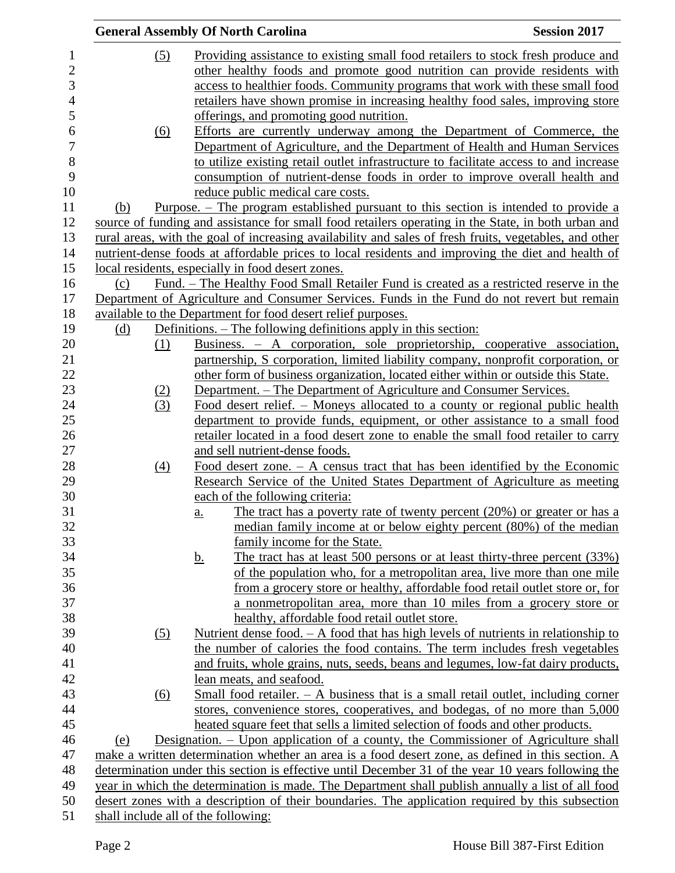|                                     | <b>General Assembly Of North Carolina</b>                                                                                                                                                    | <b>Session 2017</b> |
|-------------------------------------|----------------------------------------------------------------------------------------------------------------------------------------------------------------------------------------------|---------------------|
| (5)                                 | Providing assistance to existing small food retailers to stock fresh produce and                                                                                                             |                     |
|                                     | other healthy foods and promote good nutrition can provide residents with                                                                                                                    |                     |
|                                     | access to healthier foods. Community programs that work with these small food                                                                                                                |                     |
|                                     | retailers have shown promise in increasing healthy food sales, improving store                                                                                                               |                     |
|                                     | offerings, and promoting good nutrition.                                                                                                                                                     |                     |
| (6)                                 | Efforts are currently underway among the Department of Commerce, the                                                                                                                         |                     |
|                                     | Department of Agriculture, and the Department of Health and Human Services                                                                                                                   |                     |
|                                     | to utilize existing retail outlet infrastructure to facilitate access to and increase                                                                                                        |                     |
|                                     | consumption of nutrient-dense foods in order to improve overall health and                                                                                                                   |                     |
|                                     | reduce public medical care costs.                                                                                                                                                            |                     |
| (b)                                 | <u>Purpose. – The program established pursuant to this section is intended to provide a</u>                                                                                                  |                     |
|                                     | source of funding and assistance for small food retailers operating in the State, in both urban and                                                                                          |                     |
|                                     | rural areas, with the goal of increasing availability and sales of fresh fruits, vegetables, and other                                                                                       |                     |
|                                     | nutrient-dense foods at affordable prices to local residents and improving the diet and health of                                                                                            |                     |
|                                     |                                                                                                                                                                                              |                     |
|                                     | local residents, especially in food desert zones.                                                                                                                                            |                     |
| (c)                                 | <u>Fund. – The Healthy Food Small Retailer Fund is created as a restricted reserve in the</u><br>Department of Agriculture and Consumer Services. Funds in the Fund do not revert but remain |                     |
|                                     |                                                                                                                                                                                              |                     |
|                                     | available to the Department for food desert relief purposes.<br>Definitions. – The following definitions apply in this section:                                                              |                     |
| (d)<br>(1)                          | Business. - A corporation, sole proprietorship, cooperative association,                                                                                                                     |                     |
|                                     | partnership, S corporation, limited liability company, nonprofit corporation, or                                                                                                             |                     |
|                                     | other form of business organization, located either within or outside this State.                                                                                                            |                     |
| (2)                                 | Department. – The Department of Agriculture and Consumer Services.                                                                                                                           |                     |
| (3)                                 | <u>Food desert relief. – Moneys allocated to a county or regional public health</u>                                                                                                          |                     |
|                                     | department to provide funds, equipment, or other assistance to a small food                                                                                                                  |                     |
|                                     | retailer located in a food desert zone to enable the small food retailer to carry                                                                                                            |                     |
|                                     | and sell nutrient-dense foods.                                                                                                                                                               |                     |
| (4)                                 | Food desert zone. $-$ A census tract that has been identified by the Economic                                                                                                                |                     |
|                                     | Research Service of the United States Department of Agriculture as meeting                                                                                                                   |                     |
|                                     | each of the following criteria:                                                                                                                                                              |                     |
|                                     | The tract has a poverty rate of twenty percent $(20%)$ or greater or has a<br>a.                                                                                                             |                     |
|                                     | median family income at or below eighty percent (80%) of the median                                                                                                                          |                     |
|                                     | family income for the State.                                                                                                                                                                 |                     |
|                                     | The tract has at least 500 persons or at least thirty-three percent (33%)<br><u>b.</u>                                                                                                       |                     |
|                                     | of the population who, for a metropolitan area, live more than one mile                                                                                                                      |                     |
|                                     | from a grocery store or healthy, affordable food retail outlet store or, for                                                                                                                 |                     |
|                                     | a nonmetropolitan area, more than 10 miles from a grocery store or                                                                                                                           |                     |
|                                     | healthy, affordable food retail outlet store.                                                                                                                                                |                     |
| $\left( 5\right)$                   | Nutrient dense food. $- A$ food that has high levels of nutrients in relationship to                                                                                                         |                     |
|                                     | the number of calories the food contains. The term includes fresh vegetables                                                                                                                 |                     |
|                                     | and fruits, whole grains, nuts, seeds, beans and legumes, low-fat dairy products,                                                                                                            |                     |
|                                     | lean meats, and seafood.                                                                                                                                                                     |                     |
| (6)                                 | Small food retailer. $- A$ business that is a small retail outlet, including corner                                                                                                          |                     |
|                                     | stores, convenience stores, cooperatives, and bodegas, of no more than 5,000                                                                                                                 |                     |
|                                     | heated square feet that sells a limited selection of foods and other products.                                                                                                               |                     |
| (e)                                 | Designation. – Upon application of a county, the Commissioner of Agriculture shall                                                                                                           |                     |
|                                     | make a written determination whether an area is a food desert zone, as defined in this section. A                                                                                            |                     |
|                                     | determination under this section is effective until December 31 of the year 10 years following the                                                                                           |                     |
|                                     | year in which the determination is made. The Department shall publish annually a list of all food                                                                                            |                     |
|                                     | desert zones with a description of their boundaries. The application required by this subsection                                                                                             |                     |
| shall include all of the following: |                                                                                                                                                                                              |                     |
|                                     |                                                                                                                                                                                              |                     |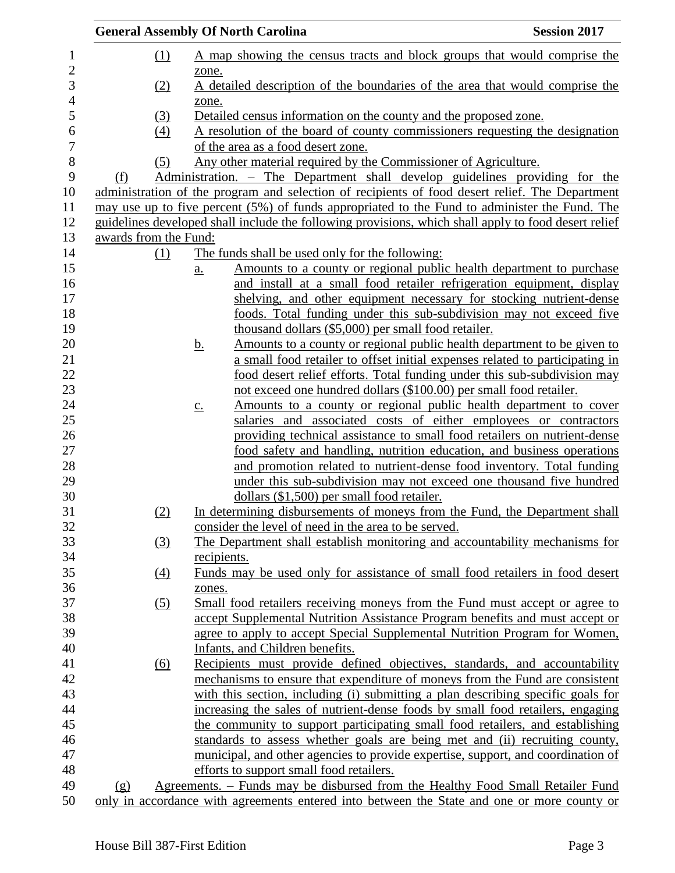|                |                       |                   | <b>General Assembly Of North Carolina</b>                                                                                                                        | <b>Session 2017</b> |
|----------------|-----------------------|-------------------|------------------------------------------------------------------------------------------------------------------------------------------------------------------|---------------------|
| 1              |                       | $\Omega$          | A map showing the census tracts and block groups that would comprise the                                                                                         |                     |
| 2<br>3         |                       | (2)               | zone.<br>A detailed description of the boundaries of the area that would comprise the                                                                            |                     |
| $\overline{4}$ |                       |                   | zone.                                                                                                                                                            |                     |
| 5              |                       | (3)               | Detailed census information on the county and the proposed zone.                                                                                                 |                     |
| 6              |                       | $\left(4\right)$  | A resolution of the board of county commissioners requesting the designation                                                                                     |                     |
| 7              |                       |                   | of the area as a food desert zone.                                                                                                                               |                     |
| $\,8$          |                       | (5)               | Any other material required by the Commissioner of Agriculture.                                                                                                  |                     |
| 9              | (f)                   |                   | Administration. – The Department shall develop guidelines providing for the                                                                                      |                     |
| 10             |                       |                   | administration of the program and selection of recipients of food desert relief. The Department                                                                  |                     |
| 11             |                       |                   | may use up to five percent (5%) of funds appropriated to the Fund to administer the Fund. The                                                                    |                     |
| 12             |                       |                   | guidelines developed shall include the following provisions, which shall apply to food desert relief                                                             |                     |
| 13             | awards from the Fund: |                   |                                                                                                                                                                  |                     |
| 14             |                       | (1)               | The funds shall be used only for the following:                                                                                                                  |                     |
| 15             |                       |                   | Amounts to a county or regional public health department to purchase<br>$\underline{a}$ .                                                                        |                     |
| 16             |                       |                   | and install at a small food retailer refrigeration equipment, display                                                                                            |                     |
| 17             |                       |                   | shelving, and other equipment necessary for stocking nutrient-dense                                                                                              |                     |
| 18             |                       |                   | foods. Total funding under this sub-subdivision may not exceed five                                                                                              |                     |
| 19             |                       |                   | thousand dollars (\$5,000) per small food retailer.                                                                                                              |                     |
| 20             |                       |                   | Amounts to a county or regional public health department to be given to<br><u>b.</u>                                                                             |                     |
| 21             |                       |                   | a small food retailer to offset initial expenses related to participating in                                                                                     |                     |
| 22             |                       |                   | food desert relief efforts. Total funding under this sub-subdivision may                                                                                         |                     |
| 23             |                       |                   | not exceed one hundred dollars (\$100.00) per small food retailer.                                                                                               |                     |
| 24             |                       |                   | Amounts to a county or regional public health department to cover<br>$\underline{c}$ .                                                                           |                     |
| 25             |                       |                   | salaries and associated costs of either employees or contractors                                                                                                 |                     |
| 26             |                       |                   | providing technical assistance to small food retailers on nutrient-dense                                                                                         |                     |
| 27             |                       |                   | food safety and handling, nutrition education, and business operations                                                                                           |                     |
| 28             |                       |                   | and promotion related to nutrient-dense food inventory. Total funding                                                                                            |                     |
| 29             |                       |                   | under this sub-subdivision may not exceed one thousand five hundred                                                                                              |                     |
| 30             |                       |                   | dollars $(\$1,500)$ per small food retailer.                                                                                                                     |                     |
| 31             |                       | (2)               | In determining disbursements of moneys from the Fund, the Department shall                                                                                       |                     |
| 32             |                       |                   | consider the level of need in the area to be served.                                                                                                             |                     |
| 33             |                       | (3)               | The Department shall establish monitoring and accountability mechanisms for                                                                                      |                     |
| 34             |                       |                   | recipients.                                                                                                                                                      |                     |
| 35             |                       | $\underline{(4)}$ | Funds may be used only for assistance of small food retailers in food desert                                                                                     |                     |
| 36             |                       |                   | zones.                                                                                                                                                           |                     |
| 37             |                       | (5)               | Small food retailers receiving moneys from the Fund must accept or agree to                                                                                      |                     |
| 38             |                       |                   | accept Supplemental Nutrition Assistance Program benefits and must accept or                                                                                     |                     |
| 39             |                       |                   | agree to apply to accept Special Supplemental Nutrition Program for Women,                                                                                       |                     |
| 40             |                       |                   | Infants, and Children benefits.                                                                                                                                  |                     |
| 41<br>42       |                       | $\underline{(6)}$ | Recipients must provide defined objectives, standards, and accountability                                                                                        |                     |
| 43             |                       |                   | mechanisms to ensure that expenditure of moneys from the Fund are consistent<br>with this section, including (i) submitting a plan describing specific goals for |                     |
| 44             |                       |                   | increasing the sales of nutrient-dense foods by small food retailers, engaging                                                                                   |                     |
| 45             |                       |                   | the community to support participating small food retailers, and establishing                                                                                    |                     |
| 46             |                       |                   | standards to assess whether goals are being met and (ii) recruiting county,                                                                                      |                     |
| 47             |                       |                   | municipal, and other agencies to provide expertise, support, and coordination of                                                                                 |                     |
| 48             |                       |                   | efforts to support small food retailers.                                                                                                                         |                     |
| 49             | (g)                   |                   | Agreements. – Funds may be disbursed from the Healthy Food Small Retailer Fund                                                                                   |                     |
| 50             |                       |                   | only in accordance with agreements entered into between the State and one or more county or                                                                      |                     |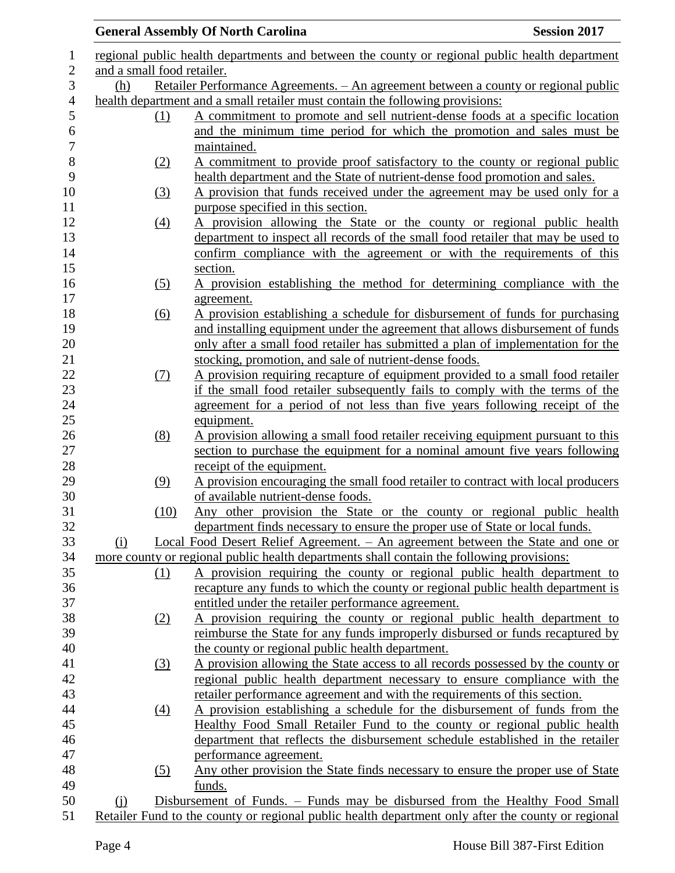|                            | <b>General Assembly Of North Carolina</b>                                                      | <b>Session 2017</b> |
|----------------------------|------------------------------------------------------------------------------------------------|---------------------|
|                            | regional public health departments and between the county or regional public health department |                     |
| and a small food retailer. |                                                                                                |                     |
| (h)                        | <u> Retailer Performance Agreements. – An agreement between a county or regional public</u>    |                     |
|                            | health department and a small retailer must contain the following provisions:                  |                     |
| (1)                        | A commitment to promote and sell nutrient-dense foods at a specific location                   |                     |
|                            | and the minimum time period for which the promotion and sales must be                          |                     |
|                            | maintained.                                                                                    |                     |
| (2)                        | A commitment to provide proof satisfactory to the county or regional public                    |                     |
|                            | health department and the State of nutrient-dense food promotion and sales.                    |                     |
| (3)                        | A provision that funds received under the agreement may be used only for a                     |                     |
|                            | purpose specified in this section.                                                             |                     |
| $\left(4\right)$           | A provision allowing the State or the county or regional public health                         |                     |
|                            | department to inspect all records of the small food retailer that may be used to               |                     |
|                            | confirm compliance with the agreement or with the requirements of this                         |                     |
|                            | section.                                                                                       |                     |
| (5)                        | A provision establishing the method for determining compliance with the                        |                     |
|                            | agreement.                                                                                     |                     |
| $\underline{(6)}$          | A provision establishing a schedule for disbursement of funds for purchasing                   |                     |
|                            | and installing equipment under the agreement that allows disbursement of funds                 |                     |
|                            | only after a small food retailer has submitted a plan of implementation for the                |                     |
|                            | stocking, promotion, and sale of nutrient-dense foods.                                         |                     |
| (7)                        | A provision requiring recapture of equipment provided to a small food retailer                 |                     |
|                            | if the small food retailer subsequently fails to comply with the terms of the                  |                     |
|                            | agreement for a period of not less than five years following receipt of the                    |                     |
|                            | equipment.                                                                                     |                     |
| (8)                        | A provision allowing a small food retailer receiving equipment pursuant to this                |                     |
|                            | section to purchase the equipment for a nominal amount five years following                    |                     |
|                            | receipt of the equipment.                                                                      |                     |
| (9)                        | A provision encouraging the small food retailer to contract with local producers               |                     |
|                            | of available nutrient-dense foods.                                                             |                     |
| (10)                       | Any other provision the State or the county or regional public health                          |                     |
|                            | department finds necessary to ensure the proper use of State or local funds.                   |                     |
| $\Omega$                   | Local Food Desert Relief Agreement. - An agreement between the State and one or                |                     |
|                            | more county or regional public health departments shall contain the following provisions:      |                     |
| <u>(1)</u>                 | A provision requiring the county or regional public health department to                       |                     |
|                            | recapture any funds to which the county or regional public health department is                |                     |
|                            | entitled under the retailer performance agreement.                                             |                     |
| (2)                        | A provision requiring the county or regional public health department to                       |                     |
|                            | reimburse the State for any funds improperly disbursed or funds recaptured by                  |                     |
|                            | the county or regional public health department.                                               |                     |
| (3)                        | A provision allowing the State access to all records possessed by the county or                |                     |
|                            | regional public health department necessary to ensure compliance with the                      |                     |
|                            | retailer performance agreement and with the requirements of this section.                      |                     |
| $\left(4\right)$           | A provision establishing a schedule for the disbursement of funds from the                     |                     |
|                            | Healthy Food Small Retailer Fund to the county or regional public health                       |                     |
|                            | department that reflects the disbursement schedule established in the retailer                 |                     |
|                            | performance agreement.                                                                         |                     |
| (5)                        | Any other provision the State finds necessary to ensure the proper use of State                |                     |
|                            |                                                                                                |                     |
|                            |                                                                                                |                     |
| (i)                        | funds.<br>Disbursement of Funds. – Funds may be disbursed from the Healthy Food Small          |                     |